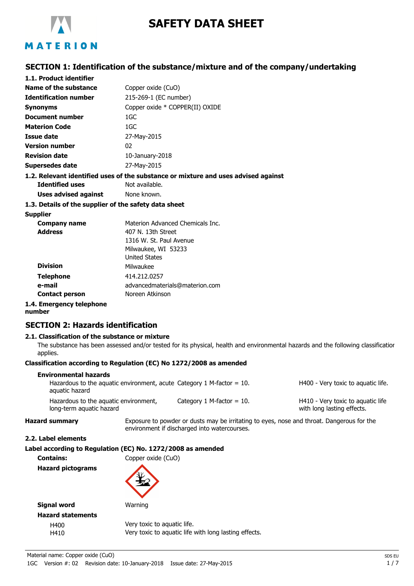

# **SAFETY DATA SHEET**

### **SECTION 1: Identification of the substance/mixture and of the company/undertaking**

| 1.1. Product identifier      |                                                                                                      |
|------------------------------|------------------------------------------------------------------------------------------------------|
| Name of the substance        | Copper oxide (CuO)                                                                                   |
| <b>Identification number</b> | 215-269-1 (EC number)                                                                                |
| <b>Synonyms</b>              | Copper oxide * COPPER(II) OXIDE                                                                      |
| Document number              | 1GC                                                                                                  |
| <b>Materion Code</b>         | 1GC                                                                                                  |
| Issue date                   | 27-May-2015                                                                                          |
| <b>Version number</b>        | 02                                                                                                   |
| <b>Revision date</b>         | $10$ -January-2018                                                                                   |
| Supersedes date              | 27-May-2015                                                                                          |
| <b>Identified uses</b>       | 1.2. Relevant identified uses of the substance or mixture and uses advised against<br>Not available. |

**Uses advised against** None known.

#### **1.3. Details of the supplier of the safety data sheet**

#### **Supplier**

| <b>Company name</b>     | Materion Advanced Chemicals Inc. |
|-------------------------|----------------------------------|
| <b>Address</b>          | 407 N. 13th Street               |
|                         | 1316 W. St. Paul Avenue          |
|                         | Milwaukee, WI 53233              |
|                         | <b>United States</b>             |
| <b>Division</b>         | Milwaukee                        |
| <b>Telephone</b>        | 414.212.0257                     |
| e-mail                  | advancedmaterials@materion.com   |
| <b>Contact person</b>   | Noreen Atkinson                  |
| 1 . Emargancy talanhona |                                  |

## **1.4. Emergency telephone**

### **number**

### **SECTION 2: Hazards identification**

#### **2.1. Classification of the substance or mixture**

The substance has been assessed and/or tested for its physical, health and environmental hazards and the following classification applies.

#### **Classification according to Regulation (EC) No 1272/2008 as amended**

| Environmental hazards                                                                      |                              |                                                                 |
|--------------------------------------------------------------------------------------------|------------------------------|-----------------------------------------------------------------|
| Hazardous to the aquatic environment, acute Category 1 M-factor $= 10$ .<br>aquatic hazard |                              | H400 - Very toxic to aquatic life.                              |
| Hazardous to the aquatic environment,<br>long-term aquatic hazard                          | Category 1 M-factor $= 10$ . | H410 - Very toxic to aguatic life<br>with long lasting effects. |

**Hazard summary** Exposure to powder or dusts may be irritating to eyes, nose and throat. Dangerous for the environment if discharged into watercourses.

**2.2. Label elements**

| Label according to Regulation (EC) No. 1272/2008 as amended |  |  |  |  |
|-------------------------------------------------------------|--|--|--|--|
|-------------------------------------------------------------|--|--|--|--|

**Contains:** Copper oxide (CuO)

**Hazard pictograms**



**Warning** 

| Signal word              |
|--------------------------|
| <b>Hazard statements</b> |
| H400                     |
| ⊔⊿1∩                     |

Very toxic to aquatic life. H410 Very toxic to aquatic life with long lasting effects.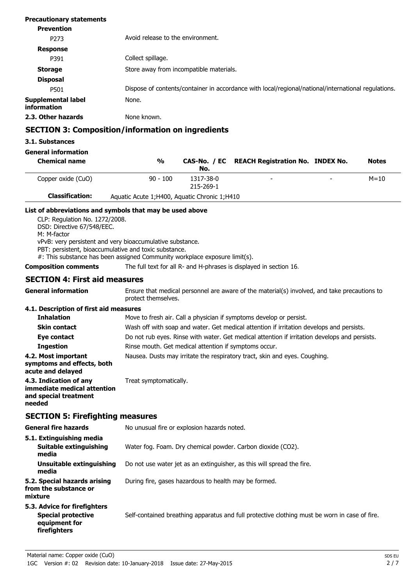| <b>Precautionary statements</b>          |                                                                                                     |
|------------------------------------------|-----------------------------------------------------------------------------------------------------|
| <b>Prevention</b>                        |                                                                                                     |
| P <sub>273</sub>                         | Avoid release to the environment.                                                                   |
| <b>Response</b>                          |                                                                                                     |
| P391                                     | Collect spillage.                                                                                   |
| <b>Storage</b>                           | Store away from incompatible materials.                                                             |
| <b>Disposal</b>                          |                                                                                                     |
| P501                                     | Dispose of contents/container in accordance with local/regional/national/international regulations. |
| <b>Supplemental label</b><br>information | None.                                                                                               |
| 2.3. Other hazards                       | None known.                                                                                         |

### **SECTION 3: Composition/information on ingredients**

### **3.1. Substances**

### **General information**

| <b>Chemical name</b>   | %                                              | No.                    | CAS-No. / EC REACH Registration No. INDEX No. |                          | <b>Notes</b> |
|------------------------|------------------------------------------------|------------------------|-----------------------------------------------|--------------------------|--------------|
| Copper oxide (CuO)     | $90 - 100$                                     | 1317-38-0<br>215-269-1 |                                               | $\overline{\phantom{0}}$ | $M = 10$     |
| <b>Classification:</b> | Aquatic Acute 1; H400, Aquatic Chronic 1; H410 |                        |                                               |                          |              |

### **List of abbreviations and symbols that may be used above**

CLP: Regulation No. 1272/2008. DSD: Directive 67/548/EEC. M: M-factor vPvB: very persistent and very bioaccumulative substance. PBT: persistent, bioaccumulative and toxic substance. #: This substance has been assigned Community workplace exposure limit(s).

**Composition comments** The full text for all R- and H-phrases is displayed in section 16.

### **SECTION 4: First aid measures**

| <b>General information</b>                                                               | Ensure that medical personnel are aware of the material(s) involved, and take precautions to<br>protect themselves. |  |  |
|------------------------------------------------------------------------------------------|---------------------------------------------------------------------------------------------------------------------|--|--|
| 4.1. Description of first aid measures                                                   |                                                                                                                     |  |  |
| <b>Inhalation</b>                                                                        | Move to fresh air. Call a physician if symptoms develop or persist.                                                 |  |  |
| <b>Skin contact</b>                                                                      | Wash off with soap and water. Get medical attention if irritation develops and persists.                            |  |  |
| Eye contact                                                                              | Do not rub eyes. Rinse with water. Get medical attention if irritation develops and persists.                       |  |  |
| <b>Ingestion</b>                                                                         | Rinse mouth. Get medical attention if symptoms occur.                                                               |  |  |
| 4.2. Most important<br>symptoms and effects, both<br>acute and delayed                   | Nausea. Dusts may irritate the respiratory tract, skin and eyes. Coughing.                                          |  |  |
| 4.3. Indication of any<br>immediate medical attention<br>and special treatment<br>needed | Treat symptomatically.                                                                                              |  |  |
| <b>SECTION 5: Firefighting measures</b>                                                  |                                                                                                                     |  |  |
| <b>General fire hazards</b>                                                              | No unusual fire or explosion hazards noted.                                                                         |  |  |
| 5.1. Extinguishing media                                                                 |                                                                                                                     |  |  |
| Suitable extinguishing<br>media                                                          | Water fog. Foam. Dry chemical powder. Carbon dioxide (CO2).                                                         |  |  |
| Unsuitable extinguishing                                                                 | Do not use water jet as an extinguisher, as this will spread the fire.                                              |  |  |

### **media 5.2. Special hazards arising** During fire, gases hazardous to health may be formed.

**from the substance or mixture**

### **5.3. Advice for firefighters Special protective** Self-contained breathing apparatus and full protective clothing must be worn in case of fire. **equipment for firefighters**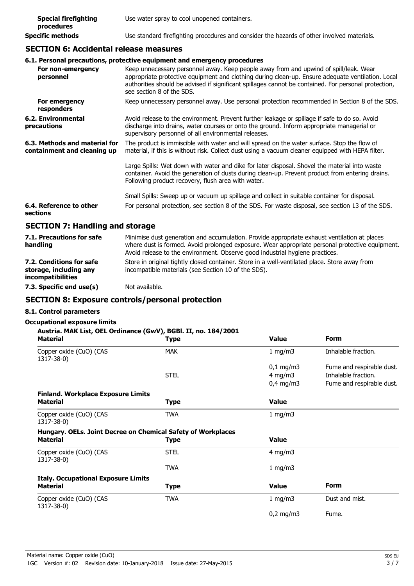| <b>Special firefighting</b><br>procedures | Use water spray to cool unopened containers.                                               |
|-------------------------------------------|--------------------------------------------------------------------------------------------|
| Specific methods                          | Use standard firefighting procedures and consider the hazards of other involved materials. |

### **SECTION 6: Accidental release measures**

### **6.1. Personal precautions, protective equipment and emergency procedures**

| For non-emergency<br>personnel                               | Keep unnecessary personnel away. Keep people away from and upwind of spill/leak. Wear<br>appropriate protective equipment and clothing during clean-up. Ensure adequate ventilation. Local<br>authorities should be advised if significant spillages cannot be contained. For personal protection,<br>see section 8 of the SDS. |
|--------------------------------------------------------------|---------------------------------------------------------------------------------------------------------------------------------------------------------------------------------------------------------------------------------------------------------------------------------------------------------------------------------|
| For emergency<br>responders                                  | Keep unnecessary personnel away. Use personal protection recommended in Section 8 of the SDS.                                                                                                                                                                                                                                   |
| 6.2. Environmental<br>precautions                            | Avoid release to the environment. Prevent further leakage or spillage if safe to do so. Avoid<br>discharge into drains, water courses or onto the ground. Inform appropriate managerial or<br>supervisory personnel of all environmental releases.                                                                              |
| 6.3. Methods and material for<br>containment and cleaning up | The product is immiscible with water and will spread on the water surface. Stop the flow of<br>material, if this is without risk. Collect dust using a vacuum cleaner equipped with HEPA filter.                                                                                                                                |
|                                                              | Large Spills: Wet down with water and dike for later disposal. Shovel the material into waste<br>container. Avoid the generation of dusts during clean-up. Prevent product from entering drains.<br>Following product recovery, flush area with water.                                                                          |
|                                                              | Small Spills: Sweep up or vacuum up spillage and collect in suitable container for disposal.                                                                                                                                                                                                                                    |
| 6.4. Reference to other<br>sections                          | For personal protection, see section 8 of the SDS. For waste disposal, see section 13 of the SDS.                                                                                                                                                                                                                               |
| <b>SECTION 7: Handling and storage</b>                       |                                                                                                                                                                                                                                                                                                                                 |

| 7.1. Precautions for safe<br>handling                                          | Minimise dust generation and accumulation. Provide appropriate exhaust ventilation at places<br>where dust is formed. Avoid prolonged exposure. Wear appropriate personal protective equipment.<br>Avoid release to the environment. Observe good industrial hygiene practices. |
|--------------------------------------------------------------------------------|---------------------------------------------------------------------------------------------------------------------------------------------------------------------------------------------------------------------------------------------------------------------------------|
| 7.2. Conditions for safe<br>storage, including any<br><i>incompatibilities</i> | Store in original tightly closed container. Store in a well-ventilated place. Store away from<br>incompatible materials (see Section 10 of the SDS).                                                                                                                            |
| 7.3. Specific end use(s)                                                       | Not available.                                                                                                                                                                                                                                                                  |

### **SECTION 8: Exposure controls/personal protection**

### **8.1. Control parameters**

### **Occupational exposure limits**

| <b>Material</b>                            | <b>Type</b>                                                  | <b>Value</b> | <b>Form</b>               |
|--------------------------------------------|--------------------------------------------------------------|--------------|---------------------------|
| Copper oxide (CuO) (CAS<br>1317-38-0)      | <b>MAK</b>                                                   | 1 mg/m $3$   | Inhalable fraction.       |
|                                            |                                                              | $0,1$ mg/m3  | Fume and respirable dust. |
|                                            | <b>STEL</b>                                                  | 4 mg/m $3$   | Inhalable fraction.       |
|                                            |                                                              | $0,4$ mg/m3  | Fume and respirable dust. |
| <b>Finland. Workplace Exposure Limits</b>  |                                                              |              |                           |
| <b>Material</b>                            | Type                                                         | <b>Value</b> |                           |
| Copper oxide (CuO) (CAS<br>1317-38-0)      | <b>TWA</b>                                                   | 1 mg/m $3$   |                           |
|                                            | Hungary. OELs. Joint Decree on Chemical Safety of Workplaces |              |                           |
| <b>Material</b>                            | Type                                                         | <b>Value</b> |                           |
| Copper oxide (CuO) (CAS<br>1317-38-0)      | <b>STEL</b>                                                  | 4 mg/m $3$   |                           |
|                                            | <b>TWA</b>                                                   | 1 mg/m3      |                           |
| <b>Italy. Occupational Exposure Limits</b> |                                                              |              |                           |
| <b>Material</b>                            | Type                                                         | <b>Value</b> | <b>Form</b>               |
| Copper oxide (CuO) (CAS<br>1317-38-0)      | <b>TWA</b>                                                   | 1 mg/m $3$   | Dust and mist.            |
|                                            |                                                              | $0,2$ mg/m3  | Fume.                     |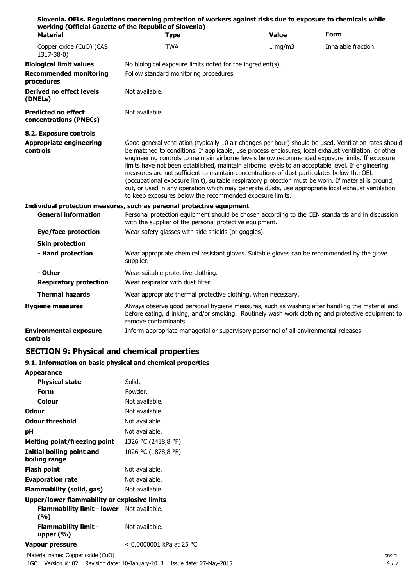|                                                      | Slovenia. OELs. Regulations concerning protection of workers against risks due to exposure to chemicals while<br>working (Official Gazette of the Republic of Slovenia)                                                                                                                                                                                                                                                                                                                                                                                                                                                                                                                                                                                                                    |              |                     |
|------------------------------------------------------|--------------------------------------------------------------------------------------------------------------------------------------------------------------------------------------------------------------------------------------------------------------------------------------------------------------------------------------------------------------------------------------------------------------------------------------------------------------------------------------------------------------------------------------------------------------------------------------------------------------------------------------------------------------------------------------------------------------------------------------------------------------------------------------------|--------------|---------------------|
| <b>Material</b>                                      | <b>Type</b>                                                                                                                                                                                                                                                                                                                                                                                                                                                                                                                                                                                                                                                                                                                                                                                | <b>Value</b> | <b>Form</b>         |
| Copper oxide (CuO) (CAS<br>1317-38-0)                | <b>TWA</b>                                                                                                                                                                                                                                                                                                                                                                                                                                                                                                                                                                                                                                                                                                                                                                                 | $1$ mg/m $3$ | Inhalable fraction. |
| <b>Biological limit values</b>                       | No biological exposure limits noted for the ingredient(s).                                                                                                                                                                                                                                                                                                                                                                                                                                                                                                                                                                                                                                                                                                                                 |              |                     |
| <b>Recommended monitoring</b><br>procedures          | Follow standard monitoring procedures.                                                                                                                                                                                                                                                                                                                                                                                                                                                                                                                                                                                                                                                                                                                                                     |              |                     |
| <b>Derived no effect levels</b><br>(DNELs)           | Not available.                                                                                                                                                                                                                                                                                                                                                                                                                                                                                                                                                                                                                                                                                                                                                                             |              |                     |
| <b>Predicted no effect</b><br>concentrations (PNECs) | Not available.                                                                                                                                                                                                                                                                                                                                                                                                                                                                                                                                                                                                                                                                                                                                                                             |              |                     |
| 8.2. Exposure controls                               |                                                                                                                                                                                                                                                                                                                                                                                                                                                                                                                                                                                                                                                                                                                                                                                            |              |                     |
| <b>Appropriate engineering</b><br>controls           | Good general ventilation (typically 10 air changes per hour) should be used. Ventilation rates should<br>be matched to conditions. If applicable, use process enclosures, local exhaust ventilation, or other<br>engineering controls to maintain airborne levels below recommended exposure limits. If exposure<br>limits have not been established, maintain airborne levels to an acceptable level. If engineering<br>measures are not sufficient to maintain concentrations of dust particulates below the OEL<br>(occupational exposure limit), suitable respiratory protection must be worn. If material is ground,<br>cut, or used in any operation which may generate dusts, use appropriate local exhaust ventilation<br>to keep exposures below the recommended exposure limits. |              |                     |
|                                                      | Individual protection measures, such as personal protective equipment                                                                                                                                                                                                                                                                                                                                                                                                                                                                                                                                                                                                                                                                                                                      |              |                     |
| <b>General information</b>                           | Personal protection equipment should be chosen according to the CEN standards and in discussion<br>with the supplier of the personal protective equipment.                                                                                                                                                                                                                                                                                                                                                                                                                                                                                                                                                                                                                                 |              |                     |
| Eye/face protection                                  | Wear safety glasses with side shields (or goggles).                                                                                                                                                                                                                                                                                                                                                                                                                                                                                                                                                                                                                                                                                                                                        |              |                     |
| <b>Skin protection</b>                               |                                                                                                                                                                                                                                                                                                                                                                                                                                                                                                                                                                                                                                                                                                                                                                                            |              |                     |
| - Hand protection                                    | Wear appropriate chemical resistant gloves. Suitable gloves can be recommended by the glove<br>supplier.                                                                                                                                                                                                                                                                                                                                                                                                                                                                                                                                                                                                                                                                                   |              |                     |
| - Other                                              | Wear suitable protective clothing.                                                                                                                                                                                                                                                                                                                                                                                                                                                                                                                                                                                                                                                                                                                                                         |              |                     |
| <b>Respiratory protection</b>                        | Wear respirator with dust filter.                                                                                                                                                                                                                                                                                                                                                                                                                                                                                                                                                                                                                                                                                                                                                          |              |                     |
| <b>Thermal hazards</b>                               | Wear appropriate thermal protective clothing, when necessary.                                                                                                                                                                                                                                                                                                                                                                                                                                                                                                                                                                                                                                                                                                                              |              |                     |
| <b>Hygiene measures</b>                              | Always observe good personal hygiene measures, such as washing after handling the material and<br>before eating, drinking, and/or smoking. Routinely wash work clothing and protective equipment to<br>remove contaminants.                                                                                                                                                                                                                                                                                                                                                                                                                                                                                                                                                                |              |                     |
| <b>Environmental exposure</b><br>controls            | Inform appropriate managerial or supervisory personnel of all environmental releases.                                                                                                                                                                                                                                                                                                                                                                                                                                                                                                                                                                                                                                                                                                      |              |                     |

### **SECTION 9: Physical and chemical properties**

### **9.1. Information on basic physical and chemical properties**

| <b>Appearance</b>                                       |                            |
|---------------------------------------------------------|----------------------------|
| <b>Physical state</b>                                   | Solid.                     |
| Form                                                    | Powder.                    |
| Colour                                                  | Not available.             |
| Odour                                                   | Not available.             |
| <b>Odour threshold</b>                                  | Not available.             |
| рH                                                      | Not available.             |
| <b>Melting point/freezing point</b>                     | 1326 °C (2418,8 °F)        |
| Initial boiling point and<br>boiling range              | 1026 °C (1878,8 °F)        |
| Flash point                                             | Not available.             |
| <b>Evaporation rate</b>                                 | Not available.             |
| Flammability (solid, gas)                               | Not available.             |
| Upper/lower flammability or explosive limits            |                            |
| <b>Flammability limit - lower</b> Not available.<br>(%) |                            |
| <b>Flammability limit -</b><br>upper $(% )$             | Not available.             |
| Vapour pressure                                         | $<$ 0,0000001 kPa at 25 °C |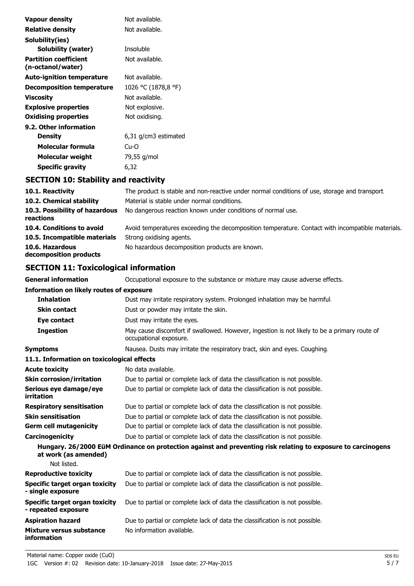| Vapour density                                    | Not available.       |
|---------------------------------------------------|----------------------|
| Relative density                                  | Not available.       |
| Solubility(ies)                                   |                      |
| Solubility (water)                                | Insoluble            |
| <b>Partition coefficient</b><br>(n-octanol/water) | Not available.       |
| Auto-ignition temperature                         | Not available.       |
| <b>Decomposition temperature</b>                  | 1026 °C (1878,8 °F)  |
| Viscosity                                         | Not available.       |
| <b>Explosive properties</b>                       | Not explosive.       |
| <b>Oxidising properties</b>                       | Not oxidising.       |
| 9.2. Other information                            |                      |
| Density                                           | 6,31 g/cm3 estimated |
| Molecular formula                                 | Cu-O                 |
| Molecular weight                                  | 79,55 g/mol          |
| Specific gravity                                  | 6,32                 |

### **SECTION 10: Stability and reactivity**

| 10.1. Reactivity                            | The product is stable and non-reactive under normal conditions of use, storage and transport.    |
|---------------------------------------------|--------------------------------------------------------------------------------------------------|
| 10.2. Chemical stability                    | Material is stable under normal conditions.                                                      |
| 10.3. Possibility of hazardous<br>reactions | No dangerous reaction known under conditions of normal use.                                      |
| 10.4. Conditions to avoid                   | Avoid temperatures exceeding the decomposition temperature. Contact with incompatible materials. |
| 10.5. Incompatible materials                | Strong oxidising agents.                                                                         |
| 10.6. Hazardous<br>decomposition products   | No hazardous decomposition products are known.                                                   |

### **SECTION 11: Toxicological information**

**General information CCCUPATION** Occupational exposure to the substance or mixture may cause adverse effects.

| <b>Information on likely routes of exposure</b>              |                                                                                                                        |  |
|--------------------------------------------------------------|------------------------------------------------------------------------------------------------------------------------|--|
| <b>Inhalation</b>                                            | Dust may irritate respiratory system. Prolonged inhalation may be harmful.                                             |  |
| <b>Skin contact</b>                                          | Dust or powder may irritate the skin.                                                                                  |  |
| Eye contact                                                  | Dust may irritate the eyes.                                                                                            |  |
| <b>Ingestion</b>                                             | May cause discomfort if swallowed. However, ingestion is not likely to be a primary route of<br>occupational exposure. |  |
| <b>Symptoms</b>                                              | Nausea. Dusts may irritate the respiratory tract, skin and eyes. Coughing.                                             |  |
| 11.1. Information on toxicological effects                   |                                                                                                                        |  |
| <b>Acute toxicity</b>                                        | No data available.                                                                                                     |  |
| <b>Skin corrosion/irritation</b>                             | Due to partial or complete lack of data the classification is not possible.                                            |  |
| Serious eye damage/eye<br>irritation                         | Due to partial or complete lack of data the classification is not possible.                                            |  |
| <b>Respiratory sensitisation</b>                             | Due to partial or complete lack of data the classification is not possible.                                            |  |
| <b>Skin sensitisation</b>                                    | Due to partial or complete lack of data the classification is not possible.                                            |  |
| <b>Germ cell mutagenicity</b>                                | Due to partial or complete lack of data the classification is not possible.                                            |  |
| Carcinogenicity                                              | Due to partial or complete lack of data the classification is not possible.                                            |  |
| at work (as amended)<br>Not listed.                          | Hungary. 26/2000 EüM Ordinance on protection against and preventing risk relating to exposure to carcinogens           |  |
| <b>Reproductive toxicity</b>                                 | Due to partial or complete lack of data the classification is not possible.                                            |  |
| <b>Specific target organ toxicity</b><br>- single exposure   | Due to partial or complete lack of data the classification is not possible.                                            |  |
| <b>Specific target organ toxicity</b><br>- repeated exposure | Due to partial or complete lack of data the classification is not possible.                                            |  |
| <b>Aspiration hazard</b>                                     | Due to partial or complete lack of data the classification is not possible.                                            |  |
| Mixture versus substance<br><i>information</i>               | No information available.                                                                                              |  |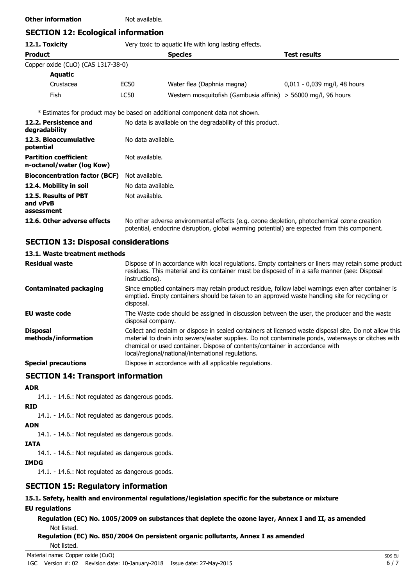### **Other information** Not available.

### **SECTION 12: Ecological information**

### **12.1. Toxicity** Very toxic to aquatic life with long lasting effects.

| <b>Product</b>                     |      | <b>Species</b>                                                   | Test results                   |
|------------------------------------|------|------------------------------------------------------------------|--------------------------------|
| Copper oxide (CuO) (CAS 1317-38-0) |      |                                                                  |                                |
| Aquatic                            |      |                                                                  |                                |
| Crustacea                          | EC50 | Water flea (Daphnia magna)                                       | $0.011 - 0.039$ mg/l, 48 hours |
| Fish                               | LC50 | Western mosquitofish (Gambusia affinis) $>$ 56000 mg/l, 96 hours |                                |

\* Estimates for product may be based on additional component data not shown.

| 12.2. Persistence and<br>degradability                    | No data is available on the degradability of this product.                                                                                                                                 |
|-----------------------------------------------------------|--------------------------------------------------------------------------------------------------------------------------------------------------------------------------------------------|
| 12.3. Bioaccumulative<br>potential                        | No data available.                                                                                                                                                                         |
| <b>Partition coefficient</b><br>n-octanol/water (log Kow) | Not available.                                                                                                                                                                             |
| <b>Bioconcentration factor (BCF)</b>                      | Not available.                                                                                                                                                                             |
| 12.4. Mobility in soil                                    | No data available.                                                                                                                                                                         |
| 12.5. Results of PBT<br>and vPvB<br>assessment            | Not available.                                                                                                                                                                             |
| 12.6. Other adverse effects                               | No other adverse environmental effects (e.g. ozone depletion, photochemical ozone creation<br>potential, endocrine disruption, global warming potential) are expected from this component. |

### **SECTION 13: Disposal considerations**

### **13.1. Waste treatment methods**

| <b>Residual waste</b>                  | Dispose of in accordance with local regulations. Empty containers or liners may retain some product<br>residues. This material and its container must be disposed of in a safe manner (see: Disposal<br>instructions).                                                                                                                            |
|----------------------------------------|---------------------------------------------------------------------------------------------------------------------------------------------------------------------------------------------------------------------------------------------------------------------------------------------------------------------------------------------------|
| <b>Contaminated packaging</b>          | Since emptied containers may retain product residue, follow label warnings even after container is<br>emptied. Empty containers should be taken to an approved waste handling site for recycling or<br>disposal.                                                                                                                                  |
| EU waste code                          | The Waste code should be assigned in discussion between the user, the producer and the waste<br>disposal company.                                                                                                                                                                                                                                 |
| <b>Disposal</b><br>methods/information | Collect and reclaim or dispose in sealed containers at licensed waste disposal site. Do not allow this<br>material to drain into sewers/water supplies. Do not contaminate ponds, waterways or ditches with<br>chemical or used container. Dispose of contents/container in accordance with<br>local/regional/national/international regulations. |
| <b>Special precautions</b>             | Dispose in accordance with all applicable regulations.                                                                                                                                                                                                                                                                                            |

### **SECTION 14: Transport information**

#### **ADR**

14.1. - 14.6.: Not regulated as dangerous goods.

### **RID**

14.1. - 14.6.: Not regulated as dangerous goods.

#### **ADN**

14.1. - 14.6.: Not regulated as dangerous goods.

#### **IATA**

14.1. - 14.6.: Not regulated as dangerous goods.

#### **IMDG**

14.1. - 14.6.: Not regulated as dangerous goods.

### **SECTION 15: Regulatory information**

### **15.1. Safety, health and environmental regulations/legislation specific for the substance or mixture**

### **EU regulations**

**Regulation (EC) No. 1005/2009 on substances that deplete the ozone layer, Annex I and II, as amended** Not listed.

### **Regulation (EC) No. 850/2004 On persistent organic pollutants, Annex I as amended**

Not listed.